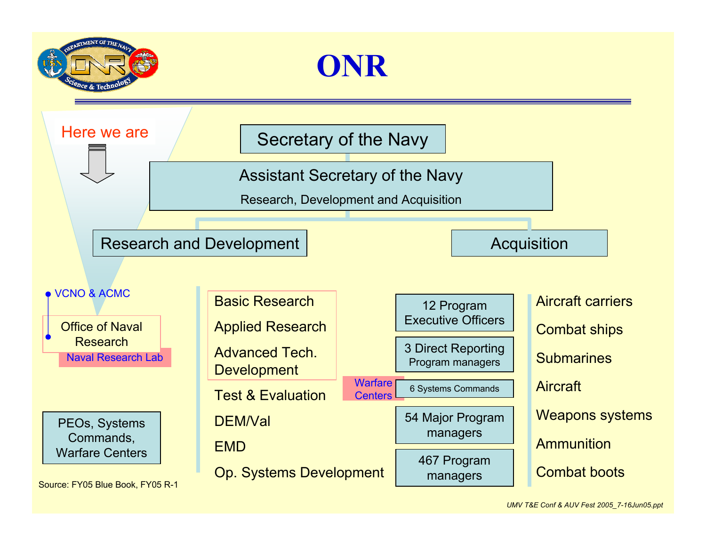



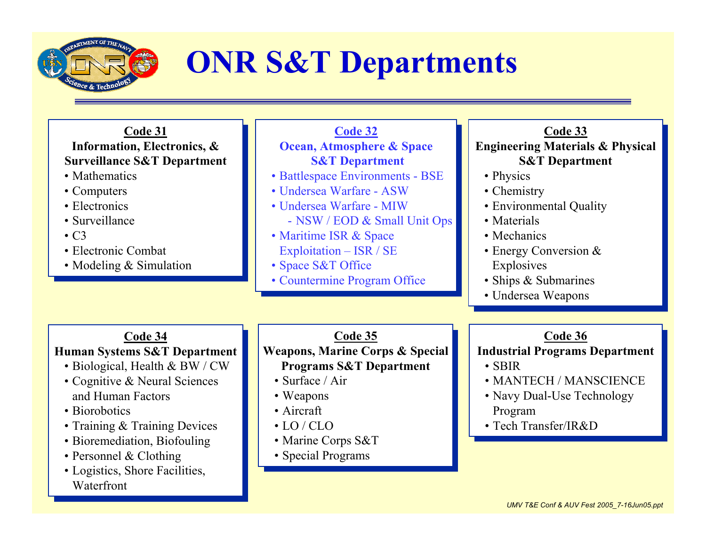

• Bioremediation, Biofouling

• Personnel & Clothing  $\alpha$  Clothing • Logistics, Shore Facilities,

Waterfront

# **ONR S&T Departments**

| Code 31                                | Code 32                                    | Code 33                                     |
|----------------------------------------|--------------------------------------------|---------------------------------------------|
| Information, Electronics, &            | <b>Ocean, Atmosphere &amp; Space</b>       | <b>Engineering Materials &amp; Physical</b> |
| <b>Surveillance S&amp;T Department</b> | <b>S&amp;T</b> Department                  | <b>S&amp;T</b> Department                   |
| • Mathematics                          | • Battlespace Environments - BSE           | • Physics                                   |
| • Computers                            | • Undersea Warfare - ASW                   | • Chemistry                                 |
| • Electronics                          | • Undersea Warfare - MIW                   | • Environmental Quality                     |
| • Surveillance                         | - NSW / EOD & Small Unit Ops               | • Materials                                 |
| $\cdot$ C <sub>3</sub>                 | • Maritime ISR & Space                     | • Mechanics                                 |
| • Electronic Combat                    | Exploitation – ISR / SE                    | • Energy Conversion $&$                     |
| • Modeling $&$ Simulation              | • Space S&T Office                         | Explosives                                  |
|                                        | • Countermine Program Office               | • Ships & Submarines                        |
|                                        |                                            | • Undersea Weapons                          |
|                                        |                                            |                                             |
| Code 34                                | Code 35                                    | Code 36                                     |
| Human Systems S&T Department           | <b>Weapons, Marine Corps &amp; Special</b> | <b>Industrial Programs Department</b>       |
| • Biological, Health & BW / CW         | <b>Programs S&amp;T Department</b>         | $\cdot$ SBIR                                |
| • Cognitive & Neural Sciences          | • Surface / Air                            | • MANTECH / MANSCIENCE                      |
| and Human Factors                      | • Weapons                                  | • Navy Dual-Use Technology                  |
| • Biorobotics                          | • Aircraft                                 | Program                                     |
| • Training & Training Devices          | $\cdot$ LO/CLO                             | • Tech Transfer/IR&D                        |
|                                        | $\alpha$ $\alpha$ $\pi$                    |                                             |

• Marine Corps S&T • Special Programs • Special Programs